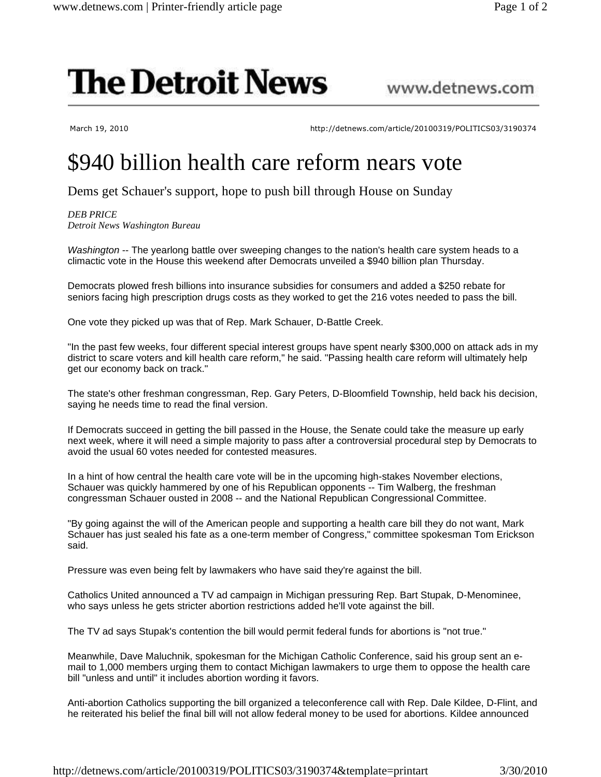## **The Detroit News**

www.detnews.com

March 19, 2010 http://detnews.com/article/20100319/POLITICS03/3190374

## \$940 billion health care reform nears vote

Dems get Schauer's support, hope to push bill through House on Sunday

*DEB PRICE Detroit News Washington Bureau*

Washington -- The yearlong battle over sweeping changes to the nation's health care system heads to a climactic vote in the House this weekend after Democrats unveiled a \$940 billion plan Thursday.

Democrats plowed fresh billions into insurance subsidies for consumers and added a \$250 rebate for seniors facing high prescription drugs costs as they worked to get the 216 votes needed to pass the bill.

One vote they picked up was that of Rep. Mark Schauer, D-Battle Creek.

"In the past few weeks, four different special interest groups have spent nearly \$300,000 on attack ads in my district to scare voters and kill health care reform," he said. "Passing health care reform will ultimately help get our economy back on track."

The state's other freshman congressman, Rep. Gary Peters, D-Bloomfield Township, held back his decision, saying he needs time to read the final version.

If Democrats succeed in getting the bill passed in the House, the Senate could take the measure up early next week, where it will need a simple majority to pass after a controversial procedural step by Democrats to avoid the usual 60 votes needed for contested measures.

In a hint of how central the health care vote will be in the upcoming high-stakes November elections, Schauer was quickly hammered by one of his Republican opponents -- Tim Walberg, the freshman congressman Schauer ousted in 2008 -- and the National Republican Congressional Committee.

"By going against the will of the American people and supporting a health care bill they do not want, Mark Schauer has just sealed his fate as a one-term member of Congress," committee spokesman Tom Erickson said.

Pressure was even being felt by lawmakers who have said they're against the bill.

Catholics United announced a TV ad campaign in Michigan pressuring Rep. Bart Stupak, D-Menominee, who says unless he gets stricter abortion restrictions added he'll vote against the bill.

The TV ad says Stupak's contention the bill would permit federal funds for abortions is "not true."

Meanwhile, Dave Maluchnik, spokesman for the Michigan Catholic Conference, said his group sent an email to 1,000 members urging them to contact Michigan lawmakers to urge them to oppose the health care bill "unless and until" it includes abortion wording it favors.

Anti-abortion Catholics supporting the bill organized a teleconference call with Rep. Dale Kildee, D-Flint, and he reiterated his belief the final bill will not allow federal money to be used for abortions. Kildee announced